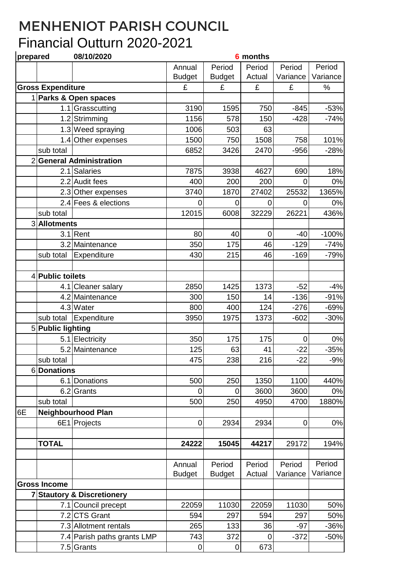## MENHENIOT PARISH COUNCIL Financial Outturn 2020-2021

| prepared |                          | 08/10/2020                            | 6 months      |               |             |                  |          |
|----------|--------------------------|---------------------------------------|---------------|---------------|-------------|------------------|----------|
|          |                          |                                       | Annual        | Period        | Period      | Period           | Period   |
|          |                          |                                       | <b>Budget</b> | <b>Budget</b> | Actual      | Variance         | Variance |
|          | <b>Gross Expenditure</b> |                                       | £             | £             | £           | £                | %        |
|          |                          | 1 Parks & Open spaces                 |               |               |             |                  |          |
|          |                          | 1.1 Grasscutting                      | 3190          | 1595          | 750         | $-845$           | $-53%$   |
|          | 1.2                      | Strimming                             | 1156          | 578           | 150         | $-428$           | $-74%$   |
|          |                          | 1.3 Weed spraying                     | 1006          | 503           | 63          |                  |          |
|          |                          | 1.4 Other expenses                    | 1500          | 750           | 1508        | 758              | 101%     |
|          | sub total                |                                       | 6852          | 3426          | 2470        | $-956$           | $-28%$   |
|          |                          | 2 General Administration              |               |               |             |                  |          |
|          |                          | 2.1 Salaries                          | 7875          | 3938          | 4627        | 690              | 18%      |
|          |                          | 2.2 Audit fees                        | 400           | 200           | 200         | 0                | 0%       |
|          | 2.3                      | Other expenses                        | 3740          | 1870          | 27402       | 25532            | 1365%    |
|          |                          | 2.4 Fees & elections                  | 0             | $\mathbf 0$   | 0           | 0                | 0%       |
|          | sub total                |                                       | 12015         | 6008          | 32229       | 26221            | 436%     |
|          | 3 Allotments             |                                       |               |               |             |                  |          |
|          | 3.1                      | Rent                                  | 80            | 40            | $\mathbf 0$ | $-40$            | $-100%$  |
|          |                          | 3.2 Maintenance                       | 350           | 175           | 46          | $-129$           | $-74%$   |
|          | sub total                | Expenditure                           | 430           | 215           | 46          | $-169$           | $-79%$   |
|          |                          |                                       |               |               |             |                  |          |
|          | 4 Public toilets         |                                       |               |               |             |                  |          |
|          |                          | 4.1 Cleaner salary                    | 2850          | 1425          | 1373        | $-52$            | $-4%$    |
|          |                          | 4.2 Maintenance                       | 300           | 150           | 14          | $-136$           | $-91%$   |
|          |                          | 4.3 Water                             | 800           | 400           | 124         | $-276$           | $-69%$   |
|          | sub total                | Expenditure                           | 3950          | 1975          | 1373        | $-602$           | $-30%$   |
|          | 5 Public lighting        |                                       |               |               |             |                  |          |
|          |                          | 5.1 Electricity                       | 350           | 175           | 175         | $\boldsymbol{0}$ | 0%       |
|          |                          | 5.2 Maintenance                       | 125           | 63            | 41          | $-22$            | $-35%$   |
|          | sub total                |                                       | 475           | 238           | 216         | $-22$            | $-9%$    |
|          | 6Donations               |                                       |               |               |             |                  |          |
|          | 6.1                      | Donations                             | 500           | 250           | 1350        | 1100             | 440%     |
|          | 6.2                      | Grants                                | 0             | 0             | 3600        | 3600             | 0%       |
|          | sub total                |                                       | 500           | 250           | 4950        | 4700             | 1880%    |
| 6E       |                          | <b>Neighbourhood Plan</b>             |               |               |             |                  |          |
|          |                          | 6E1 Projects                          | 0             | 2934          | 2934        | $\overline{0}$   | $0\%$    |
|          |                          |                                       |               |               |             |                  |          |
|          | <b>TOTAL</b>             |                                       | 24222         | 15045         | 44217       | 29172            | 194%     |
|          |                          |                                       |               |               |             |                  |          |
|          |                          |                                       | Annual        | Period        | Period      | Period           | Period   |
|          |                          |                                       | <b>Budget</b> | <b>Budget</b> | Actual      | Variance         | Variance |
|          | <b>Gross Income</b>      |                                       |               |               |             |                  |          |
|          |                          | <b>7 Stautory &amp; Discretionery</b> |               |               |             |                  |          |
|          |                          | 7.1 Council precept                   | 22059         | 11030         | 22059       | 11030            | 50%      |
|          |                          | 7.2 CTS Grant                         | 594           | 297           | 594         | 297              | 50%      |
|          |                          | 7.3 Allotment rentals                 | 265           | 133           | 36          | $-97$            | $-36%$   |
|          |                          | 7.4 Parish paths grants LMP           | 743           | 372           | 0           | $-372$           | $-50%$   |
|          |                          | 7.5 Grants                            | $\mathbf 0$   | $\pmb{0}$     | 673         |                  |          |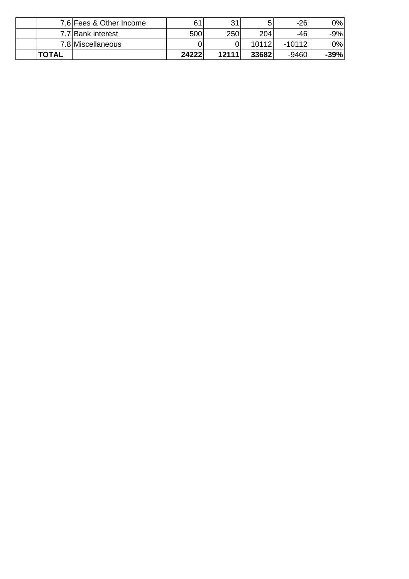|              | 7.6 Fees & Other Income | 61    | 21    | 5     | $-26$    | 0%     |
|--------------|-------------------------|-------|-------|-------|----------|--------|
|              | 7.7 Bank interest       | 500   | 250   | 204   | -46      | -9%    |
|              | 7.8 Miscellaneous       |       |       | 10112 | $-10112$ | 0%     |
| <b>TOTAL</b> |                         | 24222 | 12111 | 33682 | -9460    | $-39%$ |